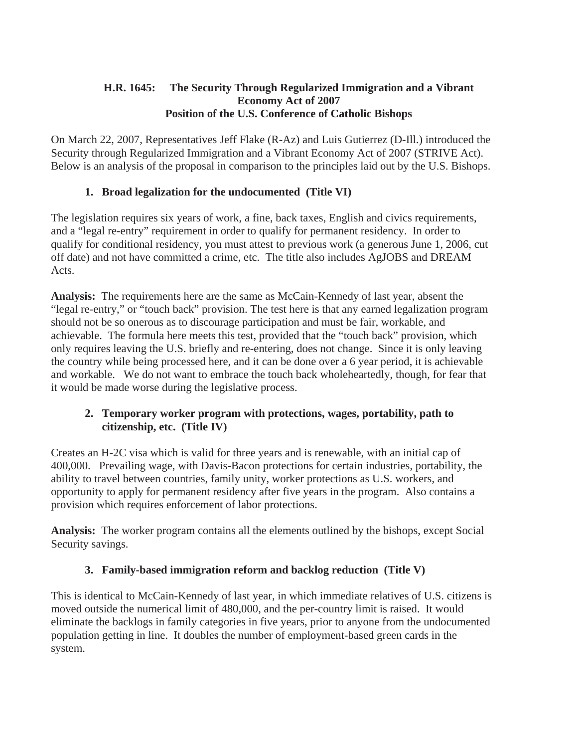### **H.R. 1645: The Security Through Regularized Immigration and a Vibrant Economy Act of 2007 Position of the U.S. Conference of Catholic Bishops**

On March 22, 2007, Representatives Jeff Flake (R-Az) and Luis Gutierrez (D-Ill.) introduced the Security through Regularized Immigration and a Vibrant Economy Act of 2007 (STRIVE Act). Below is an analysis of the proposal in comparison to the principles laid out by the U.S. Bishops.

# **1. Broad legalization for the undocumented (Title VI)**

The legislation requires six years of work, a fine, back taxes, English and civics requirements, and a "legal re-entry" requirement in order to qualify for permanent residency. In order to qualify for conditional residency, you must attest to previous work (a generous June 1, 2006, cut off date) and not have committed a crime, etc. The title also includes AgJOBS and DREAM Acts.

**Analysis:** The requirements here are the same as McCain-Kennedy of last year, absent the "legal re-entry," or "touch back" provision. The test here is that any earned legalization program should not be so onerous as to discourage participation and must be fair, workable, and achievable. The formula here meets this test, provided that the "touch back" provision, which only requires leaving the U.S. briefly and re-entering, does not change. Since it is only leaving the country while being processed here, and it can be done over a 6 year period, it is achievable and workable. We do not want to embrace the touch back wholeheartedly, though, for fear that it would be made worse during the legislative process.

# **2. Temporary worker program with protections, wages, portability, path to citizenship, etc. (Title IV)**

Creates an H-2C visa which is valid for three years and is renewable, with an initial cap of 400,000. Prevailing wage, with Davis-Bacon protections for certain industries, portability, the ability to travel between countries, family unity, worker protections as U.S. workers, and opportunity to apply for permanent residency after five years in the program. Also contains a provision which requires enforcement of labor protections.

**Analysis:** The worker program contains all the elements outlined by the bishops, except Social Security savings.

# **3. Family-based immigration reform and backlog reduction (Title V)**

This is identical to McCain-Kennedy of last year, in which immediate relatives of U.S. citizens is moved outside the numerical limit of 480,000, and the per-country limit is raised. It would eliminate the backlogs in family categories in five years, prior to anyone from the undocumented population getting in line. It doubles the number of employment-based green cards in the system.